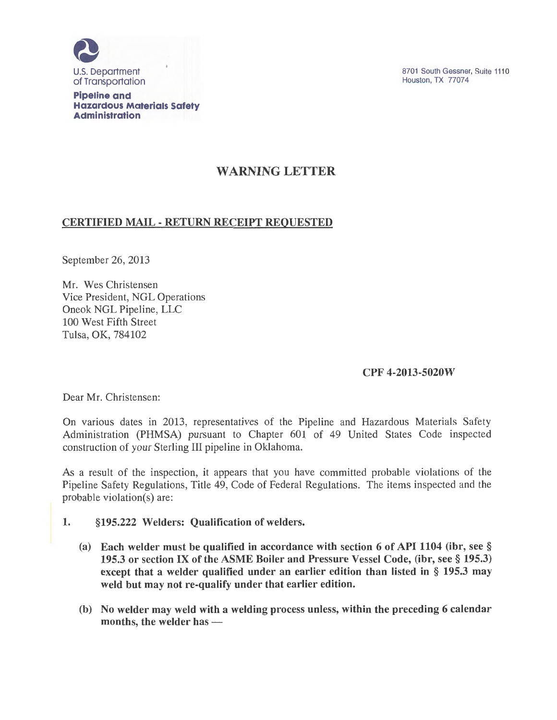

**Pipeline and Hazardous Materials Safety Administration** 

8701 South Gessner, Suite 1110 Houston, TX 77074

# WARNING LETTER

## CERTIFIED MAIL -RETURN RECEIPT REQUESTED

September 26, 2013

Mr. Wes Christensen Vice President, NGL Operations Oneok NGL Pipeline, LLC 100 West Fifth Street Tulsa, OK, 7841b2

## CPF 4-2013-5020W

Dear Mr. Christensen:

On various dates in 2013, representatives of the Pipeline and Hazardous Materials Safety Administration (PHMSA) pursuant to Chapter 601 of 49 United States Code inspected construction of your Sterling III pipeline in Oklahoma.

As a result of the inspection, it appears that you have committed probable violations of the Pipeline Safety Regulations, Title 49, Code of Federal Regulations. The items inspected and the probable violation(s) are:

- 1. § 195.222 Welders: Qualification of welders.
	- (a) Each welder must be qualified in accordance with section 6 of API 1104 (ibr, see § 195.3 or section IX of the ASME Boiler and Pressure Vessel Code, (ibr, see § 195.3) except that a welder qualified under an earlier edition than listed in § 195.3 may weld but may not re-qualify under that earlier edition.
	- (b) No welder may weld with a welding process unless, within the preceding 6 calendar months, the welder has  $-$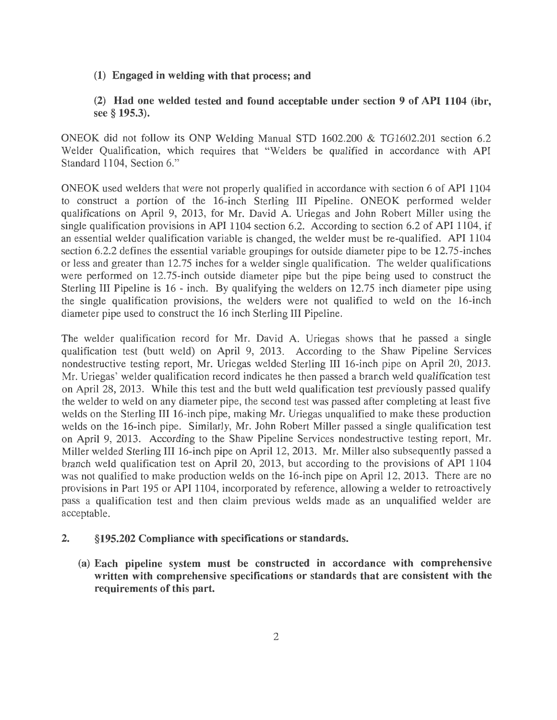#### (1) Engaged in welding with that process; and

### (2) Had one welded tested and found acceptable under section 9 of API 1104 (ibr, see § 195.3).

ONEOK did not follow its ONP Welding Manual STD 1602.200 & TG1602.201 section 6.2 Welder Qualification, which requires that "Welders be qualified in accordance with API Standard 1104, Section 6."

ONEOK used welders that were not properly qualified in accordance with section 6 of API 1104 to construct a portion of the 16-inch Sterling III Pipeline. ONEOK performed welder qualifications on April 9, 2013, for Mr. David A. Uriegas and John Robert Miller using the single qualification provisions in API 1104 section 6.2. According to section 6.2 of API 1104, if an essential welder qualification variable is changed, the welder must be re-qualified. API 1104 section 6.2.2 defines the essential variable groupings for outside diameter pipe to be 12.75-inches or less and greater than 12.75 inches for a welder single qualification. The welder qualifications were performed on 12.75-inch outside diameter pipe but the pipe being used to construct the Sterling III Pipeline is 16 - inch. By qualifying the welders on 12.75 inch diameter pipe using the single qualification provisions, the welders were not qualified to weld on the 16-inch diameter pipe used to construct the 16 inch Sterling III Pipeline.

The welder qualification record for Mr. David A. Uriegas shows that he passed a single qualification test (butt weld) on April 9, 2013. According to the Shaw Pipeline Services nondestructive testing report, Mr. Uriegas welded Sterling III 16-inch pipe on April 20, 2013. Mr. Uriegas' welder qualification record indicates he then passed a branch weld qualification test on April 28, 2013. While this test and the butt weld qualification test previously passed qualify the welder to weld on any diameter pipe, the second test was passed after completing at least five welds on the Sterling III 16-inch pipe, making Mr. Uriegas unqualified to make these production welds on the 16-inch pipe. Similarly, Mr. John Robert Miller passed a single qualification test on April 9, 2013. According to the Shaw Pipeline Services nondestructive testing report, Mr. Miller welded Sterling III 16-inch pipe on April 12, 2013. Mr. Miller also subsequently passed a branch weld qualification test on April 20, 2013, but according to the provisions of API 1104 was not qualified to make production welds on the 16-inch pipe on April 12, 2013. There are no provisions in Part 195 or API 1104, incorporated by reference, allowing a welder to retroactively pass a qualification test and then claim previous welds made as an unqualified welder are acceptable.

#### 2. §195.202 Compliance with specifications or standards.

(a) Each pipeline system must be constructed in accordance with comprehensive written with comprehensive specifications or standards that are consistent with the requirements of this part.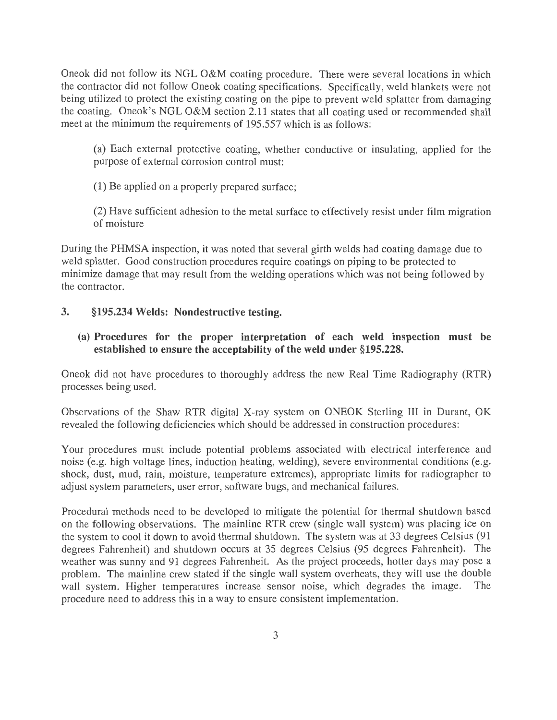Oneok did not follow its NGL O&M coating procedure. There were several locations in which the contractor did not follow Oneok coating specifications. Specifically, weld blankets were not being utilized to protect the existing coating on the pipe to prevent weld splatter from damaging the coating. Oneok's NGL O&M section 2.11 states that all coating used or recommended shall meet at the minimum the requirements of 195.557 which is as follows:

(a) Each external protective coating, whether conductive or insulating, applied for the purpose of external corrosion control must:

(1) Be applied on a properly prepared surface;

(2) Have sufficient adhesion to the metal surface to effectively resist under film migration of moisture

During the PHMSA inspection, it was noted that several girth welds had coating damage due to weld splatter. Good construction procedures require coatings on piping to be protected to minimize damage that may result from the welding operations which was not being followed by the contractor.

### **3. §195.234 Welds: Nondestructive testing.**

### (a) **Procedures for the proper interpretation of each weld inspection must be established to ensure the acceptability of the weld under §195.228.**

Oneok did not have procedures to thoroughly address the new Real Time Radiography (RTR) processes being used.

Observations of the Shaw RTR digital X-ray system on ONEOK Sterling III in Durant, OK revealed the following deficiencies which should be addressed in construction procedures:

Your procedures must include potential problems associated with electrical interference and noise (e.g. high voltage lines, induction heating, welding), severe environmental conditions (e.g. shock, dust, mud, rain, moisture, temperature extremes), appropriate limits for radiographer to adjust system parameters, user error, software bugs, and mechanical failures.

Procedural methods need to be developed to mitigate the potential for thermal shutdown based on the following observations. The mainline RTR crew (single wall system) was placing ice on the system to cool it down to avoid thermal shutdown. The system was at 33 degrees Celsius (91 degrees Fahrenheit) and shutdown occurs at 35 degrees Celsius (95 degrees Fahrenheit). The weather was sunny and 91 degrees Fahrenheit. As the project proceeds, hotter days may pose a problem. The mainline crew stated if the single wall system overheats, they will use the double wall system. Higher temperatures increase sensor noise, which degrades the image. The procedure need to address this in a way to ensure consistent implementation.